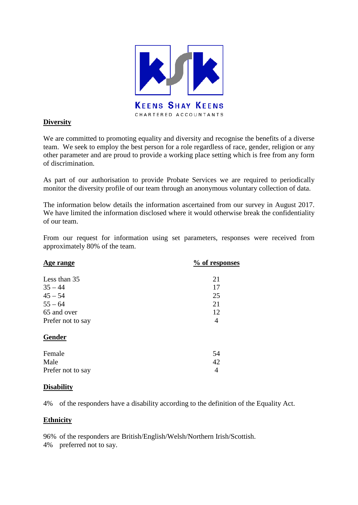

## **Diversity**

We are committed to promoting equality and diversity and recognise the benefits of a diverse team. We seek to employ the best person for a role regardless of race, gender, religion or any other parameter and are proud to provide a working place setting which is free from any form of discrimination.

As part of our authorisation to provide Probate Services we are required to periodically monitor the diversity profile of our team through an anonymous voluntary collection of data.

The information below details the information ascertained from our survey in August 2017. We have limited the information disclosed where it would otherwise break the confidentiality of our team.

From our request for information using set parameters, responses were received from approximately 80% of the team.

| Age range         | % of responses |
|-------------------|----------------|
| Less than 35      | 21             |
| $35 - 44$         | 17             |
| $45 - 54$         | 25             |
| $55 - 64$         | 21             |
| 65 and over       | 12             |
| Prefer not to say | 4              |
| Gender            |                |
| Female            | 54             |
| Male              | 42             |
| Prefer not to say | 4              |

## **Disability**

4% of the responders have a disability according to the definition of the Equality Act.

## **Ethnicity**

96% of the responders are British/English/Welsh/Northern Irish/Scottish.

4% preferred not to say.